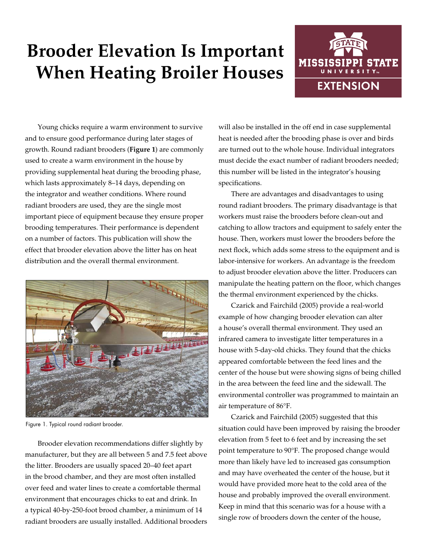# **Brooder Elevation Is Important When Heating Broiler Houses**



Young chicks require a warm environment to survive and to ensure good performance during later stages of growth. Round radiant brooders (**Figure 1**) are commonly used to create a warm environment in the house by providing supplemental heat during the brooding phase, which lasts approximately 8–14 days, depending on the integrator and weather conditions. Where round radiant brooders are used, they are the single most important piece of equipment because they ensure proper brooding temperatures. Their performance is dependent on a number of factors. This publication will show the effect that brooder elevation above the litter has on heat distribution and the overall thermal environment.



Figure 1. Typical round radiant brooder.

Brooder elevation recommendations differ slightly by manufacturer, but they are all between 5 and 7.5 feet above the litter. Brooders are usually spaced 20–40 feet apart in the brood chamber, and they are most often installed over feed and water lines to create a comfortable thermal environment that encourages chicks to eat and drink. In a typical 40-by-250-foot brood chamber, a minimum of 14 radiant brooders are usually installed. Additional brooders will also be installed in the off end in case supplemental heat is needed after the brooding phase is over and birds are turned out to the whole house. Individual integrators must decide the exact number of radiant brooders needed; this number will be listed in the integrator's housing specifications.

There are advantages and disadvantages to using round radiant brooders. The primary disadvantage is that workers must raise the brooders before clean-out and catching to allow tractors and equipment to safely enter the house. Then, workers must lower the brooders before the next flock, which adds some stress to the equipment and is labor-intensive for workers. An advantage is the freedom to adjust brooder elevation above the litter. Producers can manipulate the heating pattern on the floor, which changes the thermal environment experienced by the chicks.

Czarick and Fairchild (2005) provide a real-world example of how changing brooder elevation can alter a house's overall thermal environment. They used an infrared camera to investigate litter temperatures in a house with 5-day-old chicks. They found that the chicks appeared comfortable between the feed lines and the center of the house but were showing signs of being chilled in the area between the feed line and the sidewall. The environmental controller was programmed to maintain an air temperature of 86°F.

Czarick and Fairchild (2005) suggested that this situation could have been improved by raising the brooder elevation from 5 feet to 6 feet and by increasing the set point temperature to 90°F. The proposed change would more than likely have led to increased gas consumption and may have overheated the center of the house, but it would have provided more heat to the cold area of the house and probably improved the overall environment. Keep in mind that this scenario was for a house with a single row of brooders down the center of the house,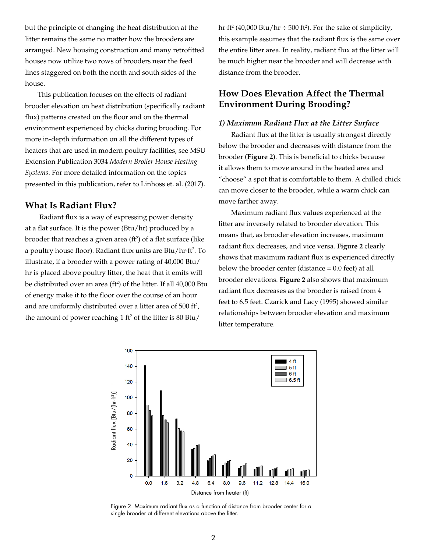but the principle of changing the heat distribution at the litter remains the same no matter how the brooders are arranged. New housing construction and many retrofitted houses now utilize two rows of brooders near the feed lines staggered on both the north and south sides of the house.

This publication focuses on the effects of radiant brooder elevation on heat distribution (specifically radiant flux) patterns created on the floor and on the thermal environment experienced by chicks during brooding. For more in-depth information on all the different types of heaters that are used in modern poultry facilities, see MSU Extension Publication 3034 *Modern Broiler House Heating Systems*. For more detailed information on the topics presented in this publication, refer to Linhoss et. al. (2017).

## **What Is Radiant Flux?**

 Radiant flux is a way of expressing power density at a flat surface. It is the power (Btu/hr) produced by a brooder that reaches a given area (ft<sup>2</sup>) of a flat surface (like a poultry house floor). Radiant flux units are Btu/hr·ft<sup>2</sup>. To illustrate, if a brooder with a power rating of 40,000 Btu/ hr is placed above poultry litter, the heat that it emits will be distributed over an area (ft<sup>2</sup>) of the litter. If all 40,000 Btu of energy make it to the floor over the course of an hour and are uniformly distributed over a litter area of  $500$  ft<sup>2</sup>, the amount of power reaching  $1 \text{ ft}^2$  of the litter is  $80 \text{ Btu}$ /

hr $\cdot$ ft<sup>2</sup> (40,000 Btu/hr  $\div$  500 ft<sup>2</sup>). For the sake of simplicity, this example assumes that the radiant flux is the same over the entire litter area. In reality, radiant flux at the litter will be much higher near the brooder and will decrease with distance from the brooder.

# **How Does Elevation Affect the Thermal Environment During Brooding?**

#### *1) Maximum Radiant Flux at the Litter Surface*

Radiant flux at the litter is usually strongest directly below the brooder and decreases with distance from the brooder (**Figure 2**). This is beneficial to chicks because it allows them to move around in the heated area and "choose" a spot that is comfortable to them. A chilled chick can move closer to the brooder, while a warm chick can move farther away.

Maximum radiant flux values experienced at the litter are inversely related to brooder elevation. This means that, as brooder elevation increases, maximum radiant flux decreases, and vice versa. **Figure 2** clearly shows that maximum radiant flux is experienced directly below the brooder center (distance = 0.0 feet) at all brooder elevations. **Figure 2** also shows that maximum radiant flux decreases as the brooder is raised from 4 feet to 6.5 feet. Czarick and Lacy (1995) showed similar relationships between brooder elevation and maximum litter temperature.



Figure 2. Maximum radiant flux as a function of distance from brooder center for a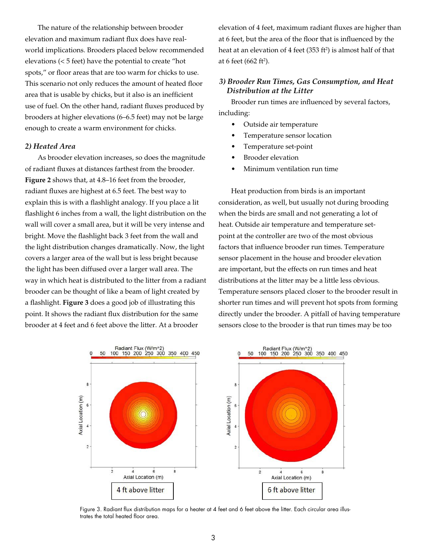The nature of the relationship between brooder elevation and maximum radiant flux does have realworld implications. Brooders placed below recommended elevations (< 5 feet) have the potential to create "hot spots," or floor areas that are too warm for chicks to use. This scenario not only reduces the amount of heated floor area that is usable by chicks, but it also is an inefficient use of fuel. On the other hand, radiant fluxes produced by brooders at higher elevations (6–6.5 feet) may not be large enough to create a warm environment for chicks.

#### *2) Heated Area*

As brooder elevation increases, so does the magnitude of radiant fluxes at distances farthest from the brooder. **Figure 2** shows that, at 4.8–16 feet from the brooder, radiant fluxes are highest at 6.5 feet. The best way to explain this is with a flashlight analogy. If you place a lit flashlight 6 inches from a wall, the light distribution on the wall will cover a small area, but it will be very intense and bright. Move the flashlight back 3 feet from the wall and the light distribution changes dramatically. Now, the light covers a larger area of the wall but is less bright because the light has been diffused over a larger wall area. The way in which heat is distributed to the litter from a radiant brooder can be thought of like a beam of light created by a flashlight. **Figure 3** does a good job of illustrating this point. It shows the radiant flux distribution for the same brooder at 4 feet and 6 feet above the litter. At a brooder

elevation of 4 feet, maximum radiant fluxes are higher than at 6 feet, but the area of the floor that is influenced by the heat at an elevation of  $4$  feet (353 ft<sup>2</sup>) is almost half of that at 6 feet (662 ft<sup>2</sup>).

### *3) Brooder Run Times, Gas Consumption, and Heat Distribution at the Litter*

Brooder run times are influenced by several factors, including:

- Outside air temperature
- Temperature sensor location
- Temperature set-point
- **Brooder** elevation
- Minimum ventilation run time

Heat production from birds is an important consideration, as well, but usually not during brooding when the birds are small and not generating a lot of heat. Outside air temperature and temperature setpoint at the controller are two of the most obvious factors that influence brooder run times. Temperature sensor placement in the house and brooder elevation are important, but the effects on run times and heat distributions at the litter may be a little less obvious. Temperature sensors placed closer to the brooder result in shorter run times and will prevent hot spots from forming directly under the brooder. A pitfall of having temperature sensors close to the brooder is that run times may be too



Figure 3. Radiant flux distribution maps for a heater at 4 feet and 6 feet above the litter. Each circular area illustrates the total heated floor area.